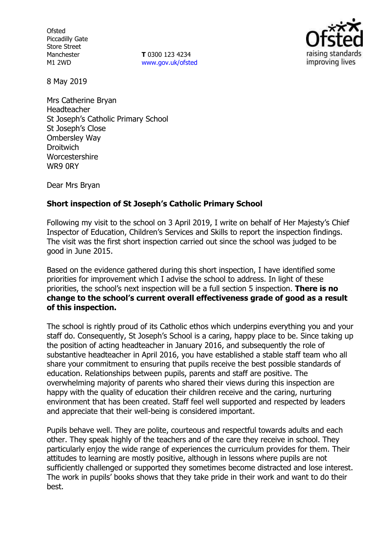**Ofsted** Piccadilly Gate Store Street Manchester M1 2WD

**T** 0300 123 4234 www.gov.uk/ofsted



8 May 2019

Mrs Catherine Bryan Headteacher St Joseph's Catholic Primary School St Joseph's Close Ombersley Way **Droitwich** Worcestershire WR9 0RY

Dear Mrs Bryan

### **Short inspection of St Joseph's Catholic Primary School**

Following my visit to the school on 3 April 2019, I write on behalf of Her Majesty's Chief Inspector of Education, Children's Services and Skills to report the inspection findings. The visit was the first short inspection carried out since the school was judged to be good in June 2015.

Based on the evidence gathered during this short inspection, I have identified some priorities for improvement which I advise the school to address. In light of these priorities, the school's next inspection will be a full section 5 inspection. **There is no change to the school's current overall effectiveness grade of good as a result of this inspection.**

The school is rightly proud of its Catholic ethos which underpins everything you and your staff do. Consequently, St Joseph's School is a caring, happy place to be. Since taking up the position of acting headteacher in January 2016, and subsequently the role of substantive headteacher in April 2016, you have established a stable staff team who all share your commitment to ensuring that pupils receive the best possible standards of education. Relationships between pupils, parents and staff are positive. The overwhelming majority of parents who shared their views during this inspection are happy with the quality of education their children receive and the caring, nurturing environment that has been created. Staff feel well supported and respected by leaders and appreciate that their well-being is considered important.

Pupils behave well. They are polite, courteous and respectful towards adults and each other. They speak highly of the teachers and of the care they receive in school. They particularly enjoy the wide range of experiences the curriculum provides for them. Their attitudes to learning are mostly positive, although in lessons where pupils are not sufficiently challenged or supported they sometimes become distracted and lose interest. The work in pupils' books shows that they take pride in their work and want to do their best.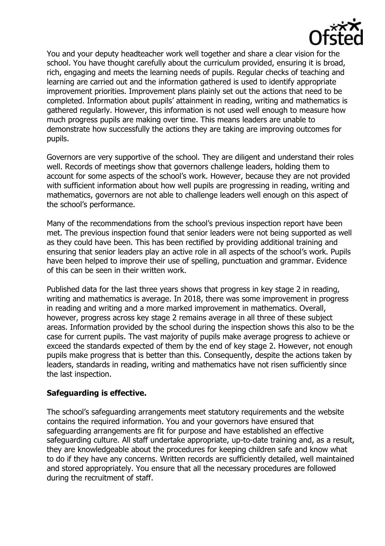

You and your deputy headteacher work well together and share a clear vision for the school. You have thought carefully about the curriculum provided, ensuring it is broad, rich, engaging and meets the learning needs of pupils. Regular checks of teaching and learning are carried out and the information gathered is used to identify appropriate improvement priorities. Improvement plans plainly set out the actions that need to be completed. Information about pupils' attainment in reading, writing and mathematics is gathered regularly. However, this information is not used well enough to measure how much progress pupils are making over time. This means leaders are unable to demonstrate how successfully the actions they are taking are improving outcomes for pupils.

Governors are very supportive of the school. They are diligent and understand their roles well. Records of meetings show that governors challenge leaders, holding them to account for some aspects of the school's work. However, because they are not provided with sufficient information about how well pupils are progressing in reading, writing and mathematics, governors are not able to challenge leaders well enough on this aspect of the school's performance.

Many of the recommendations from the school's previous inspection report have been met. The previous inspection found that senior leaders were not being supported as well as they could have been. This has been rectified by providing additional training and ensuring that senior leaders play an active role in all aspects of the school's work. Pupils have been helped to improve their use of spelling, punctuation and grammar. Evidence of this can be seen in their written work.

Published data for the last three years shows that progress in key stage 2 in reading, writing and mathematics is average. In 2018, there was some improvement in progress in reading and writing and a more marked improvement in mathematics. Overall, however, progress across key stage 2 remains average in all three of these subject areas. Information provided by the school during the inspection shows this also to be the case for current pupils. The vast majority of pupils make average progress to achieve or exceed the standards expected of them by the end of key stage 2. However, not enough pupils make progress that is better than this. Consequently, despite the actions taken by leaders, standards in reading, writing and mathematics have not risen sufficiently since the last inspection.

# **Safeguarding is effective.**

The school's safeguarding arrangements meet statutory requirements and the website contains the required information. You and your governors have ensured that safeguarding arrangements are fit for purpose and have established an effective safeguarding culture. All staff undertake appropriate, up-to-date training and, as a result, they are knowledgeable about the procedures for keeping children safe and know what to do if they have any concerns. Written records are sufficiently detailed, well maintained and stored appropriately. You ensure that all the necessary procedures are followed during the recruitment of staff.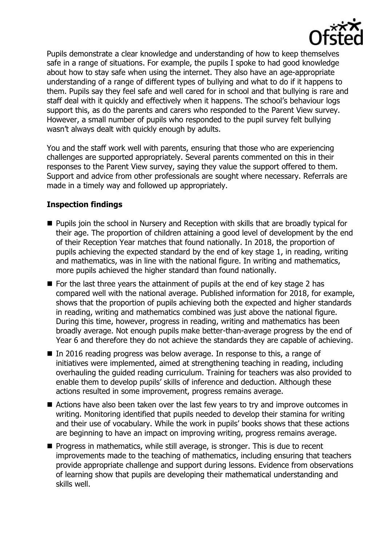

Pupils demonstrate a clear knowledge and understanding of how to keep themselves safe in a range of situations. For example, the pupils I spoke to had good knowledge about how to stay safe when using the internet. They also have an age-appropriate understanding of a range of different types of bullying and what to do if it happens to them. Pupils say they feel safe and well cared for in school and that bullying is rare and staff deal with it quickly and effectively when it happens. The school's behaviour logs support this, as do the parents and carers who responded to the Parent View survey. However, a small number of pupils who responded to the pupil survey felt bullying wasn't always dealt with quickly enough by adults.

You and the staff work well with parents, ensuring that those who are experiencing challenges are supported appropriately. Several parents commented on this in their responses to the Parent View survey, saying they value the support offered to them. Support and advice from other professionals are sought where necessary. Referrals are made in a timely way and followed up appropriately.

# **Inspection findings**

- Pupils join the school in Nursery and Reception with skills that are broadly typical for their age. The proportion of children attaining a good level of development by the end of their Reception Year matches that found nationally. In 2018, the proportion of pupils achieving the expected standard by the end of key stage 1, in reading, writing and mathematics, was in line with the national figure. In writing and mathematics, more pupils achieved the higher standard than found nationally.
- $\blacksquare$  For the last three years the attainment of pupils at the end of key stage 2 has compared well with the national average. Published information for 2018, for example, shows that the proportion of pupils achieving both the expected and higher standards in reading, writing and mathematics combined was just above the national figure. During this time, however, progress in reading, writing and mathematics has been broadly average. Not enough pupils make better-than-average progress by the end of Year 6 and therefore they do not achieve the standards they are capable of achieving.
- In 2016 reading progress was below average. In response to this, a range of initiatives were implemented, aimed at strengthening teaching in reading, including overhauling the guided reading curriculum. Training for teachers was also provided to enable them to develop pupils' skills of inference and deduction. Although these actions resulted in some improvement, progress remains average.
- Actions have also been taken over the last few years to try and improve outcomes in writing. Monitoring identified that pupils needed to develop their stamina for writing and their use of vocabulary. While the work in pupils' books shows that these actions are beginning to have an impact on improving writing, progress remains average.
- $\blacksquare$  Progress in mathematics, while still average, is stronger. This is due to recent improvements made to the teaching of mathematics, including ensuring that teachers provide appropriate challenge and support during lessons. Evidence from observations of learning show that pupils are developing their mathematical understanding and skills well.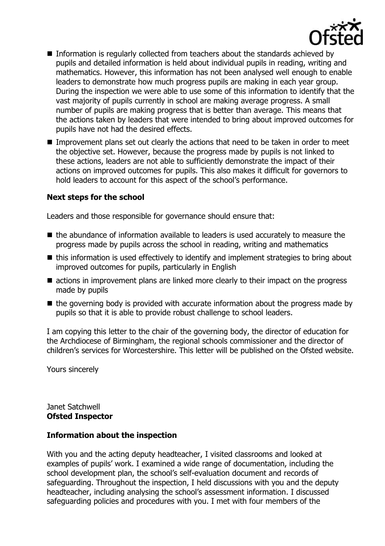

- Information is regularly collected from teachers about the standards achieved by pupils and detailed information is held about individual pupils in reading, writing and mathematics. However, this information has not been analysed well enough to enable leaders to demonstrate how much progress pupils are making in each year group. During the inspection we were able to use some of this information to identify that the vast majority of pupils currently in school are making average progress. A small number of pupils are making progress that is better than average. This means that the actions taken by leaders that were intended to bring about improved outcomes for pupils have not had the desired effects.
- Improvement plans set out clearly the actions that need to be taken in order to meet the objective set. However, because the progress made by pupils is not linked to these actions, leaders are not able to sufficiently demonstrate the impact of their actions on improved outcomes for pupils. This also makes it difficult for governors to hold leaders to account for this aspect of the school's performance.

#### **Next steps for the school**

Leaders and those responsible for governance should ensure that:

- $\blacksquare$  the abundance of information available to leaders is used accurately to measure the progress made by pupils across the school in reading, writing and mathematics
- this information is used effectively to identify and implement strategies to bring about improved outcomes for pupils, particularly in English
- actions in improvement plans are linked more clearly to their impact on the progress made by pupils
- $\blacksquare$  the governing body is provided with accurate information about the progress made by pupils so that it is able to provide robust challenge to school leaders.

I am copying this letter to the chair of the governing body, the director of education for the Archdiocese of Birmingham, the regional schools commissioner and the director of children's services for Worcestershire. This letter will be published on the Ofsted website.

Yours sincerely

Janet Satchwell **Ofsted Inspector**

#### **Information about the inspection**

With you and the acting deputy headteacher, I visited classrooms and looked at examples of pupils' work. I examined a wide range of documentation, including the school development plan, the school's self-evaluation document and records of safeguarding. Throughout the inspection, I held discussions with you and the deputy headteacher, including analysing the school's assessment information. I discussed safeguarding policies and procedures with you. I met with four members of the